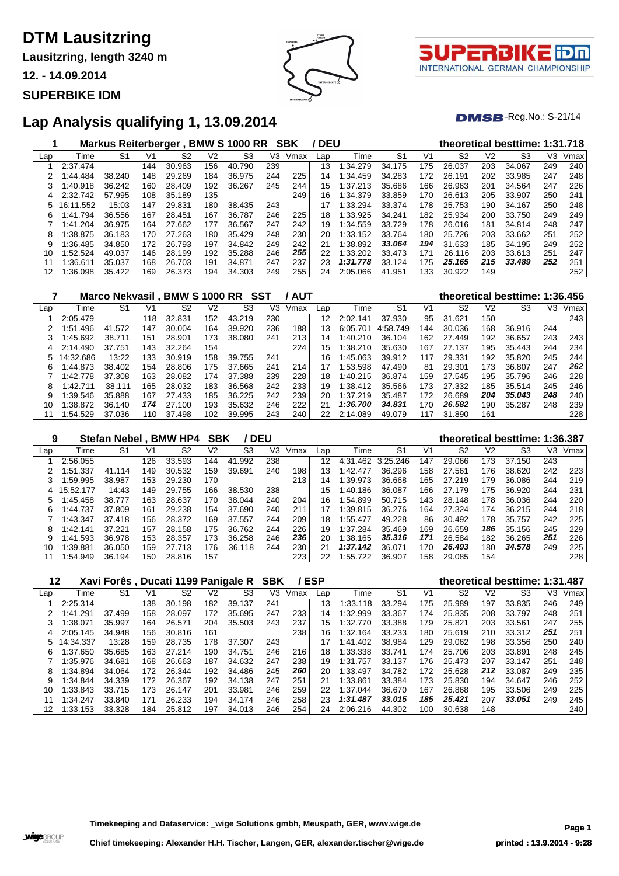**Lausitzring, length 3240 m**

**12. - 14.09.2014**

### **SUPERBIKE IDM**



τl INTERNATIONAL GERMAN CHAMPIONSHIP

 $DMSB$ -Reg.No.: S-21/14

### **Lap Analysis qualifying 1, 13.09.2014**

|     |           | Markus Reiterberger, |     |        |     | <b>BMW S 1000 RR</b> |     | <b>SBK</b> | <b>DEU</b> |          |        |     |                |     | theoretical besttime: 1:31.718 |     |      |
|-----|-----------|----------------------|-----|--------|-----|----------------------|-----|------------|------------|----------|--------|-----|----------------|-----|--------------------------------|-----|------|
| Lap | Time      | S1                   | V1  | S2     | V2  | S <sub>3</sub>       | V3  | Vmax       | Lap        | Time     | S1     | V1  | S <sub>2</sub> | V2  | S3                             | V3  | Vmax |
|     | 2:37.474  |                      | 144 | 30.963 | 156 | 40.790               | 239 |            | 13         | 1:34.279 | 34.175 | 175 | 26.037         | 203 | 34.067                         | 249 | 240  |
| 2   | :44.484   | 38.240               | 148 | 29.269 | 184 | 36.975               | 244 | 225        | 14         | 1:34.459 | 34.283 | 172 | 26.191         | 202 | 33.985                         | 247 | 248  |
| 3   | 1:40.918  | 36.242               | 160 | 28.409 | 192 | 36.267               | 245 | 244        | 15         | 1:37.213 | 35.686 | 166 | 26.963         | 201 | 34.564                         | 247 | 226  |
| 4   | 2:32.742  | 57.995               | 108 | 35.189 | 135 |                      |     | 249        | 16         | 1:34.379 | 33.859 | 170 | 26.613         | 205 | 33.907                         | 250 | 241  |
|     | 16:11.552 | 15:03                | 147 | 29.831 | 180 | 38.435               | 243 |            | 17         | 1:33.294 | 33.374 | 178 | 25.753         | 190 | 34.167                         | 250 | 248  |
| 6   | 1:41.794  | 36.556               | 167 | 28.451 | 167 | 36.787               | 246 | 225        | 18         | 1:33.925 | 34.241 | 182 | 25.934         | 200 | 33.750                         | 249 | 249  |
|     | 1:41.204  | 36.975               | 164 | 27.662 | 177 | 36.567               | 247 | 242        | 19         | 1:34.559 | 33.729 | 178 | 26.016         | 181 | 34.814                         | 248 | 247  |
| 8   | 1:38.875  | 36.183               | 170 | 27.263 | 180 | 35.429               | 248 | 230        | 20         | 1:33.152 | 33.764 | 180 | 25.726         | 203 | 33.662                         | 251 | 252  |
| 9   | 1:36.485  | 34.850               | 172 | 26.793 | 197 | 34.842               | 249 | 242        | 21         | 1:38.892 | 33.064 | 194 | 31.633         | 185 | 34.195                         | 249 | 252  |
| 10  | 1:52.524  | 49.037               | 146 | 28.199 | 192 | 35.288               | 246 | 255        | 22         | 1:33.202 | 33.473 | 171 | 26.116         | 203 | 33.613                         | 251 | 247  |
|     | :36.611   | 35.037               | 168 | 26.703 | 191 | 34.871               | 247 | 237        | 23         | 1:31.778 | 33.124 | 175 | 25.165         | 215 | 33.489                         | 252 | 251  |
| 12  | 1:36.098  | 35.422               | 169 | 26.373 | 194 | 34.303               | 249 | 255        | 24         | 2:05.066 | 41.951 | 133 | 30.922         | 149 |                                |     | 252  |

|     |             | Marco Nekvasil, BMW S 1000 RR |     |        |     |                | SST | / AUT |     |          |                |     |                |     | theoretical besttime: 1:36.456 |     |      |
|-----|-------------|-------------------------------|-----|--------|-----|----------------|-----|-------|-----|----------|----------------|-----|----------------|-----|--------------------------------|-----|------|
| Lap | Time        | S1                            | V1  | S2     | V2  | S <sub>3</sub> | V3  | Vmax  | Lap | Time     | S <sub>1</sub> | V1  | S <sub>2</sub> | V2  | S3                             | V3  | Vmax |
|     | 2:05.479    |                               | 118 | 32.831 | 152 | 43.219         | 230 |       | 12  | 2:02.141 | 37.930         | 95  | 31.621         | 150 |                                |     | 243  |
|     | 1:51.496    | 41.572                        | 147 | 30.004 | 164 | 39.920         | 236 | 188   | 13  | 6:05.701 | 4:58.749       | 144 | 30.036         | 168 | 36.916                         | 244 |      |
|     | 1:45.692    | 38.711                        | 151 | 28.901 | 173 | 38,080         | 241 | 213   | 14  | 1:40.210 | 36.104         | 162 | 27.449         | 192 | 36.657                         | 243 | 243  |
| 4   | 2:14.490    | 37.751                        | 143 | 32.264 | 154 |                |     | 224   | 15  | 1:38.210 | 35.630         | 167 | 27.137         | 195 | 35.443                         | 244 | 234  |
|     | 5 14:32.686 | 13:22                         | 133 | 30.919 | 158 | 39.755         | 241 |       | 16  | 1:45.063 | 39.912         | 117 | 29.331         | 192 | 35.820                         | 245 | 244  |
| 6   | 1:44.873    | 38.402                        | 154 | 28.806 | 175 | 37.665         | 241 | 214   | 17  | 1:53.598 | 47.490         | 81  | 29.301         | 173 | 36.807                         | 247 | 262  |
|     | 1:42.778    | 37.308                        | 163 | 28.082 | 174 | 37.388         | 239 | 228   | 18  | 1:40.215 | 36.874         | 159 | 27.545         | 195 | 35.796                         | 246 | 228  |
| 8   | 1:42.711    | 38.111                        | 165 | 28.032 | 183 | 36.568         | 242 | 233   | 19  | 1:38.412 | 35.566         | 173 | 27.332         | 185 | 35.514                         | 245 | 246  |
| 9   | 1:39.546    | 35.888                        | 167 | 27.433 | 185 | 36.225         | 242 | 239   | 20  | 1:37.219 | 35.487         | 172 | 26.689         | 204 | 35.043                         | 248 | 240  |
| 10  | 1:38.872    | 36.140                        | 174 | 27.100 | 193 | 35.632         | 246 | 222   | 21  | 1:36.700 | 34.831         | 170 | 26.582         | 190 | 35.287                         | 248 | 239  |
|     | :54.529     | 37.036                        | 110 | 37.498 | 102 | 39.995         | 243 | 240   | 22  | 2:14.089 | 49.079         | 117 | 31.890         | 161 |                                |     | 228  |

| 9   |           | Stefan Nebel. |     | <b>BMW HP4</b> | SBK |                | <b>DEU</b> |      |     |              |                |     | theoretical besttime: 1:36.387 |                |                |     |      |
|-----|-----------|---------------|-----|----------------|-----|----------------|------------|------|-----|--------------|----------------|-----|--------------------------------|----------------|----------------|-----|------|
| Lap | Time      | S1            | V1  | S2             | V2  | S <sub>3</sub> | V3         | Vmax | Lap | Time         | S <sub>1</sub> | V1  | S <sub>2</sub>                 | V <sub>2</sub> | S <sub>3</sub> | V3  | Vmax |
|     | 2:56.055  |               | 126 | 33.593         | 144 | .992<br>41     | 238        |      | 12  | 4:31<br>.462 | 3:25.246       | 147 | 29.066                         | 173            | 37.<br>.150    | 243 |      |
|     | 1:51.337  | 41.114        | 149 | 30.532         | 159 | 39.691         | 240        | 198  | 13  | 1:42.477     | 36.296         | 158 | 27.561                         | 176            | 38.620         | 242 | 223  |
|     | :59.995   | 38.987        | 153 | 29.230         | 170 |                |            | 213  | 14  | 1:39.973     | 36.668         | 165 | 27.219                         | 179            | 36.086         | 244 | 219  |
| 4   | 15:52.177 | 14:43         | 149 | 29.755         | 166 | 38.530         | 238        |      | 15  | 1:40.186     | 36.087         | 166 | 27.179                         | 175            | 36.920         | 244 | 231  |
| 5   | :45.458   | 38.777        | 163 | 28.637         | 170 | 38.044         | 240        | 204  | 16  | 1:54.899     | 50.715         | 143 | 28.148                         | 178            | 36.036         | 244 | 220  |
| 6   | 1:44.737  | 37.809        | 161 | 29.238         | 154 | 37.690         | 240        | 211  | 17  | 1:39.815     | 36.276         | 164 | 27.324                         | 174            | 36.215         | 244 | 218  |
|     | 1:43.347  | 37.418        | 156 | 28.372         | 169 | 37.557         | 244        | 209  | 18  | 1:55.477     | 49.228         | 86  | 30.492                         | 178            | 35.757         | 242 | 225  |
| 8   | 1:42.141  | 37.221        | 157 | 28.158         | 175 | 36.762         | 244        | 226  | 19  | 1:37.284     | 35.469         | 169 | 26.659                         | 186            | 35.156         | 245 | 229  |
| 9   | :41.593   | 36.978        | 153 | 28.357         | 173 | 36.258         | 246        | 236  | 20  | 1:38.165     | 35.316         | 171 | 26.584                         | 182            | 36.265         | 251 | 226  |
| 10  | :39.881   | 36.050        | 159 | 27.713         | 176 | 36.118         | 244        | 230  | 21  | 1:37.142     | 36.071         | 170 | 26.493                         | 180            | 34,578         | 249 | 225  |
|     | :54.949   | 36.194        | 150 | 28.816         | 157 |                |            | 223  |     | 1:55.722     | 36.907         | 158 | 29.085                         | 154            |                |     | 228  |

| 12  |              |        |     | Xavi Forês, Ducati 1199 Panigale R |     |        | <b>SBK</b> |      | <b>ESP</b> |              |                |     |        |     | theoretical besttime: 1:31.487 |     |      |
|-----|--------------|--------|-----|------------------------------------|-----|--------|------------|------|------------|--------------|----------------|-----|--------|-----|--------------------------------|-----|------|
| Lap | Time         | S1     | V1  | S2                                 | V2  | S3     | VЗ         | Vmax | Lap        | Time         | S <sub>1</sub> | V1  | S2     | V2  | S3                             | V3  | Vmax |
|     | 2:25.314     |        | 138 | 30.<br>.198                        | 182 | 39.137 | 241        |      | 13         | 1:33.118     | 33.294         | 175 | 25.989 | 197 | 33.835                         | 246 | 249  |
|     | .291<br>1:41 | 37.499 | 158 | 28.097                             | 172 | 35.695 | 247        | 233  | 14         | 1:32.999     | 33.367         | 174 | 25.835 | 208 | 33.797                         | 248 | 251  |
|     | 1:38.071     | 35.997 | 164 | 26.571                             | 204 | 35.503 | 243        | 237  | 15         | 1:32.770     | 33.388         | 179 | 25.821 | 203 | 33.561                         | 247 | 255  |
|     | 2:05.145     | 34.948 | 156 | 30.816                             | 161 |        |            | 238  | 16         | 1:32.164     | 33.233         | 180 | 25.619 | 210 | 33.312                         | 251 | 251  |
| 5   | 14:34.337    | 13:28  | 159 | 28.735                             | 178 | 37.307 | 243        |      | 17         | .402<br>1:41 | 38.984         | 129 | 29.062 | 198 | 33.356                         | 250 | 240  |
| 6   | 1:37.650     | 35.685 | 163 | 27.214                             | 190 | 34.751 | 246        | 216  | 18         | 1:33.338     | 33.741         | 174 | 25.706 | 203 | 33.891                         | 248 | 245  |
|     | 1:35.976     | 34.681 | 168 | 26.663                             | 187 | 34.632 | 247        | 238  | 19         | 1:31.757     | 33.137         | 176 | 25.473 | 207 | 33.147                         | 251 | 248  |
| 8   | 1:34.894     | 34.064 | 172 | 26.344                             | 192 | 34.486 | 245        | 260  | 20         | 1:33.497     | 34.782         | 172 | 25.628 | 212 | 33.087                         | 249 | 235  |
|     | 1:34.844     | 34.339 | 172 | 26.367                             | 192 | 34.138 | 247        | 251  | 21         | 1:33.861     | 33.384         | 173 | 25.830 | 194 | 34.647                         | 246 | 252  |
| 10  | 1:33.843     | 33.715 | 173 | 26.147                             | 201 | 33.981 | 246        | 259  | 22         | 1:37.044     | 36.670         | 167 | 26.868 | 195 | 33.506                         | 249 | 225  |
| 11  | 1:34.247     | 33.840 | 171 | 26.233                             | 194 | 34.174 | 246        | 258  | 23         | 1:31.487     | 33.015         | 185 | 25.421 | 207 | 33.051                         | 249 | 245  |
|     | 1:33.153     | 33.328 | 184 | 25.812                             | 197 | 34.013 | 246        | 254  | 24         | 2:06.216     | 44.302         | 100 | 30.638 | 148 |                                |     | 240  |

**Timekeeping and Dataservice: \_wige Solutions gmbh, Meuspath, GER, www.wige.de Page 1**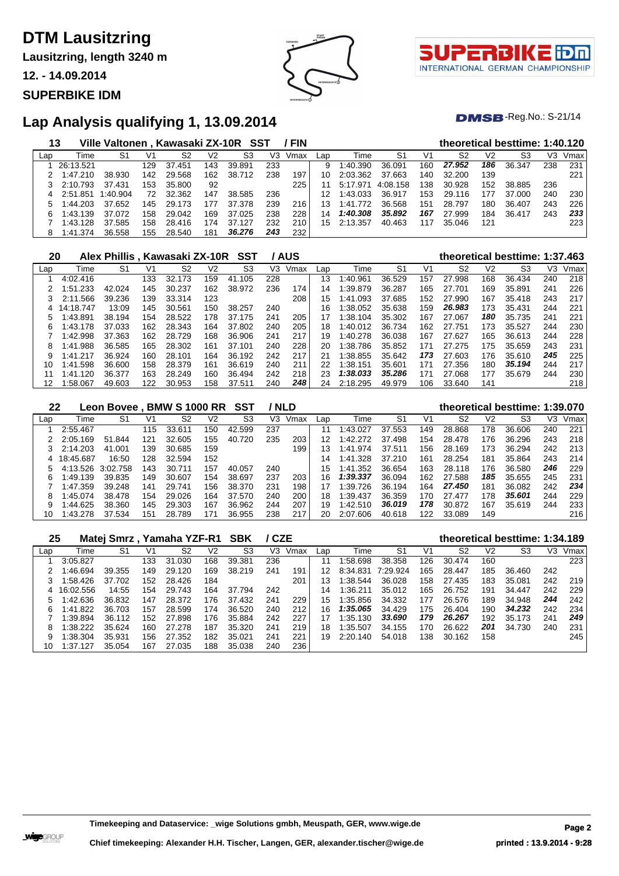**Lausitzring, length 3240 m**

**12. - 14.09.2014**

#### **SUPERBIKE IDM**



τl INTERNATIONAL GERMAN CHAMPIONSHIP

 $DMSB$ -Reg.No.: S-21/14

### **Lap Analysis qualifying 1, 13.09.2014**

| 13  |           | Ville Valtonen, Kawasaki ZX-10R SST |     |        |     |        |     | / FIN |     |          |          |     |        |     | theoretical besttime: 1:40.120 |     |      |
|-----|-----------|-------------------------------------|-----|--------|-----|--------|-----|-------|-----|----------|----------|-----|--------|-----|--------------------------------|-----|------|
| Lap | Time      | S1                                  | V1  | S2     | V2  | S3     | V3  | Vmax  | Lap | Time     | S1       | V1  | S2     | V2  | S3                             | VЗ  | Vmax |
|     | 26:13.521 |                                     | 129 | 37.451 | 143 | 39.891 | 233 |       | 9   | 1:40.390 | 36.091   | 160 | 27.952 | 186 | 36.347                         | 238 | 231  |
|     | 1:47.210  | 38.930                              | 142 | 29.568 | 162 | 38.712 | 238 | 197   | 10  | 2:03.362 | 37.663   | 140 | 32.200 | 139 |                                |     | 221  |
|     | 2:10.793  | 37.431                              | 153 | 35,800 | 92  |        |     | 225   |     | 5:17.971 | 4:08.158 | 138 | 30.928 | 152 | 38.885                         | 236 |      |
|     | 2:51.851  | 1:40.904                            | 72  | 32.362 | 147 | 38.585 | 236 |       |     | 1:43.033 | 36.917   | 153 | 29.116 | 177 | 37.000                         | 240 | 230  |
|     | 1:44.203  | 37.652                              | 145 | 29.173 | 177 | 37.378 | 239 | 216   | 13  | 1:41.772 | 36.568   | 151 | 28.797 | 180 | 36.407                         | 243 | 226  |
| 6   | 1:43.139  | 37.072                              | 158 | 29.042 | 169 | 37.025 | 238 | 228   | 14  | 1:40.308 | 35.892   | 167 | 27.999 | 184 | 36.417                         | 243 | 233  |
|     | 1:43.128  | 37.585                              | 158 | 28.416 | 174 | 37.127 | 232 | 210   | 15  | 2:13.357 | 40.463   | 117 | 35.046 | 121 |                                |     | 223  |
| 8   | 1:41.374  | 36.558                              | 155 | 28.540 | 181 | 36.276 | 243 | 232   |     |          |          |     |        |     |                                |     |      |

| 20  |               | Alex Phillis, Kawasaki ZX-10R |     |        |     | SST    |     | / AUS |     |          |                |     |        |                | theoretical besttime: 1:37.463 |     |      |
|-----|---------------|-------------------------------|-----|--------|-----|--------|-----|-------|-----|----------|----------------|-----|--------|----------------|--------------------------------|-----|------|
| Lap | Time          | S1                            | V1  | S2     | V2  | S3     | V3. | Vmax  | Lap | Time     | S <sub>1</sub> | V1  | S2     | V <sub>2</sub> | S3                             | V3  | Vmax |
|     | 4:02.416      |                               | 133 | 32.173 | 159 | 41.105 | 228 |       | 13  | 1:40.961 | 36.529         | 157 | 27.998 | 168            | 36.434                         | 240 | 218  |
|     | 1:51.233      | 42.024                        | 145 | 30.237 | 162 | 38.972 | 236 | 174   | 14  | 1:39.879 | 36.287         | 165 | 27.701 | 169            | 35.891                         | 241 | 226  |
| 3   | 2:11.566      | 39.236                        | 139 | 33.314 | 123 |        |     | 208   | 15  | 1:41.093 | 37.685         | 152 | 27.990 | 167            | 35.418                         | 243 | 217  |
| 4   | 14:18.747     | 13:09                         | 145 | 30.561 | 150 | 38.257 | 240 |       | 16  | 1:38.052 | 35.638         | 159 | 26.983 | 173            | 35.431                         | 244 | 221  |
| 5   | 1:43.891      | 38.194                        | 154 | 28.522 | 178 | 37.175 | 241 | 205   | 17  | 1:38.104 | 35.302         | 167 | 27.067 | 180            | 35.735                         | 241 | 221  |
| 6   | 1:43.178      | 37.033                        | 162 | 28.343 | 164 | 37.802 | 240 | 205   | 18  | 1:40.012 | 36.734         | 162 | 27.751 | 173            | 35.527                         | 244 | 230  |
|     | 1:42.998      | 37.363                        | 162 | 28.729 | 168 | 36,906 | 241 | 217   | 19  | 1:40.278 | 36.038         | 167 | 27.627 | 165            | 36.613                         | 244 | 228  |
| 8   | 1:41.988      | 36.585                        | 165 | 28.302 | 161 | 37.101 | 240 | 228   | 20  | 1:38.786 | 35.852         | 171 | 27.275 | 175            | 35.659                         | 243 | 231  |
| 9   | 1:41.217      | 36.924                        | 160 | 28.101 | 164 | 36.192 | 242 | 217   | 21  | 1:38.855 | 35.642         | 173 | 27.603 | 176            | 35.610                         | 245 | 225  |
| 10  | .598<br>1:41. | 36.600                        | 158 | 28.379 | 161 | 36.619 | 240 | 211   | 22  | 1:38.151 | 35.601         | 171 | 27.356 | 180            | 35.194                         | 244 | 217  |
| 11  | 1:41.120      | 36.377                        | 163 | 28.249 | 160 | 36.494 | 242 | 218   | 23  | 1:38.033 | 35.286         | 171 | 27.068 | 177            | 35.679                         | 244 | 230  |
| 12  | 1:58.067      | 49.603                        | 122 | 30.953 | 158 | 37.511 | 240 | 248   | 24  | 2:18.295 | 49.979         | 106 | 33.640 | 141            |                                |     | 218  |

| 22  |           | Leon Bovee, BMW S 1000 RR SST |     |        |     |        |     | ' NLD |     |          |        |     |        |                | theoretical besttime: 1:39.070 |     |      |
|-----|-----------|-------------------------------|-----|--------|-----|--------|-----|-------|-----|----------|--------|-----|--------|----------------|--------------------------------|-----|------|
| Lap | Time      | S1                            | V1  | S2     | V2  | S3     | V3  | Vmax  | Lap | Time     | -S1    | V1  | S2     | V <sub>2</sub> | S3                             | VЗ  | Vmax |
|     | 2:55.467  |                               | 115 | 33.611 | 150 | 42.599 | 237 |       | 11  | 1:43.027 | 37.553 | 149 | 28.868 | 178            | 36.606                         | 240 | 221  |
|     | 2:05.169  | 51.844                        | 121 | 32.605 | 155 | 40.720 | 235 | 203   | 12  | 1:42.272 | 37.498 | 154 | 28.478 | 176            | 36.296                         | 243 | 218  |
|     | 2:14.203  | 41.001                        | 139 | 30.685 | 159 |        |     | 199   | 13  | 1:41.974 | 37.511 | 156 | 28.169 | 173            | 36.294                         | 242 | 213  |
|     | 18:45.687 | 16:50                         | 128 | 32.594 | 152 |        |     |       | 14  | 1:41.328 | 37.210 | 161 | 28.254 | 181            | 35.864                         | 243 | 214  |
|     | 4:13.526  | 3:02.758                      | 143 | 30.711 | 157 | 40.057 | 240 |       | 15  | 1:41.352 | 36.654 | 163 | 28.118 | 176            | 36.580                         | 246 | 229  |
| 6   | 1:49.139  | 39.835                        | 149 | 30.607 | 154 | 38.697 | 237 | 203   | 16  | 1:39.337 | 36.094 | 162 | 27.588 | 185            | 35.655                         | 245 | 231  |
|     | 1:47.359  | 39.248                        | 141 | 29.741 | 156 | 38.370 | 231 | 198   | 17  | 1:39.726 | 36.194 | 164 | 27.450 | 181            | 36.082                         | 242 | 234  |
| 8   | 1:45.074  | 38.478                        | 154 | 29.026 | 164 | 37.570 | 240 | 200   | 18  | 1:39.437 | 36.359 | 170 | 27.477 | 178            | 35,601                         | 244 | 229  |
| 9   | 1:44.625  | 38.360                        | 145 | 29.303 | 167 | 36.962 | 244 | 207   | 19  | 1:42.510 | 36.019 | 178 | 30.872 | 167            | 35.619                         | 244 | 233  |
| 10  | 1:43.278  | 37.534                        | 151 | 28.789 | 171 | 36.955 | 238 | 217   | 20  | 2:07.606 | 40.618 | 122 | 33.089 | 149            |                                |     | 216  |

| 25  |           | Matej Smrz, Yamaha YZF-R1 SBK |     |        |     |                | / CZE |      |     |          |                |     | theoretical besttime: 1:34.189 |                |        |     |      |
|-----|-----------|-------------------------------|-----|--------|-----|----------------|-------|------|-----|----------|----------------|-----|--------------------------------|----------------|--------|-----|------|
| Lap | Time      | S <sub>1</sub>                | V1  | S2     | V2  | S <sub>3</sub> | VЗ    | Vmax | Lap | Time     | S <sub>1</sub> | V1  | S <sub>2</sub>                 | V <sub>2</sub> | S3     | V3  | Vmax |
|     | 3:05.827  |                               | 133 | 31.030 | 168 | 39.381         | 236   |      | 11  | 1:58.698 | 38.358         | 126 | 30.474                         | 160            |        |     | 223  |
|     | :46.694   | 39.355                        | 149 | 29.120 | 169 | 38.219         | 241   | 191  | 12  | 8:34.831 | 7:29.924       | 165 | 28.447                         | 185            | 36.460 | 242 |      |
|     | :58.426   | 37.702                        | 152 | 28.426 | 184 |                |       | 201  | 13  | 1:38.544 | 36.028         | 158 | 27.435                         | 183            | 35.081 | 242 | 219  |
| 4   | 16:02.556 | 14:55                         | 154 | 29.743 | 164 | 37.794         | 242   |      | 14  | 1:36.211 | 35.012         | 165 | 26.752                         | 191            | 34.447 | 242 | 229  |
| 5   | :42.636   | 36.832                        | 147 | 28.372 | 176 | 37.432         | 241   | 229  | 15  | 1:35.856 | 34.332         | 177 | 26.576                         | 189            | 34.948 | 244 | 242  |
| 6   | 1:41.822  | 36.703                        | 157 | 28.599 | 174 | 36.520         | 240   | 212  | 16  | 1:35.065 | 34.429         | 175 | 26.404                         | 190            | 34.232 | 242 | 234  |
|     | 1:39.894  | 36.112                        | 152 | 27.898 | 176 | 35.884         | 242   | 227  |     | 1:35.130 | 33.690         | 179 | 26.267                         | 192            | 35.173 | 241 | 249  |
| 8   | 1:38.222  | 35.624                        | 160 | 27.278 | 187 | 35.320         | 241   | 219  | 18  | 1:35.507 | 34.155         | 170 | 26.622                         | 201            | 34.730 | 240 | 231  |
| 9   | :38.304   | 35.931                        | 156 | 27.352 | 182 | 35.021         | 241   | 221  | 19  | 2:20.140 | 54.018         | 138 | 30.162                         | 158            |        |     | 245  |
| 10  | 1:37.127  | 35.054                        | 167 | 27.035 | 188 | 35.038         | 240   | 236  |     |          |                |     |                                |                |        |     |      |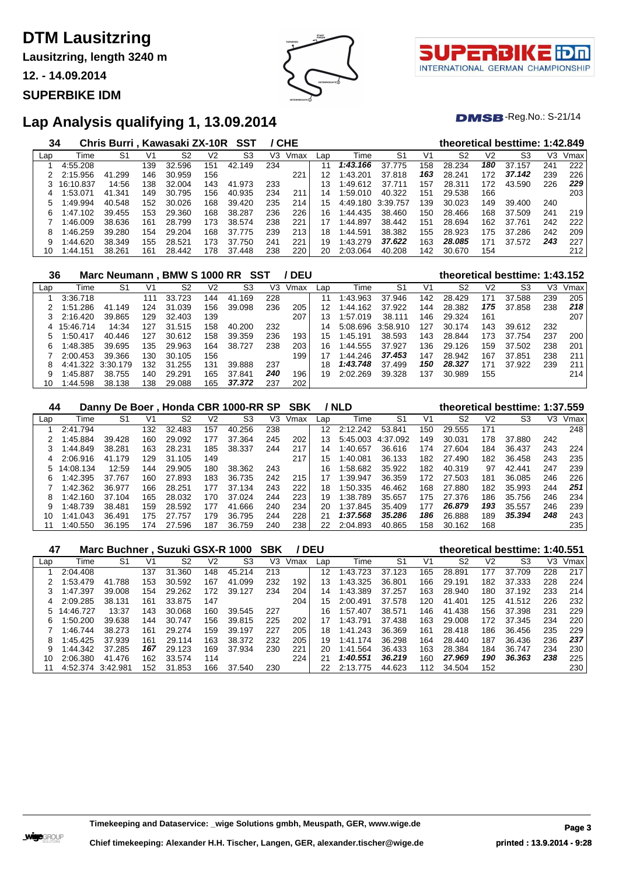**Lausitzring, length 3240 m**

**12. - 14.09.2014**

#### **SUPERBIKE IDM**





 $DMSB$ -Reg.No.: S-21/14

### **Lap Analysis qualifying 1, 13.09.2014**

| 34  |           | Chris Burri, Kawasaki ZX-10R |     |        |     | SST         |     | / CHE |     |          |          |     |        |                | theoretical besttime: 1:42.849 |     |      |
|-----|-----------|------------------------------|-----|--------|-----|-------------|-----|-------|-----|----------|----------|-----|--------|----------------|--------------------------------|-----|------|
| Lap | Time      | S1                           | V1  | S2     | V2  | S3          | V3  | Vmax  | Lap | Time     | S1       | V1  | S2     | V <sub>2</sub> | S3                             | VЗ  | Vmax |
|     | 4:55.208  |                              | 139 | 32.596 | 151 | 42.149      | 234 |       | 11  | 1:43.166 | 37.775   | 158 | 28.234 | 180            | 37.157                         | 241 | 222  |
|     | 2:15.956  | 41.299                       | 146 | 30.959 | 156 |             |     | 221   | 12  | 1:43.201 | 37.818   | 163 | 28.241 | 172            | 37.142                         | 239 | 226  |
|     | 16:10.837 | 14:56                        | 138 | 32.004 | 143 | 41.973      | 233 |       | 13  | 1:49.612 | 37.711   | 157 | 28.311 | 172            | 43.590                         | 226 | 229  |
| 4   | :53.071   | 41.341                       | 149 | 30.795 | 156 | 40.935      | 234 | 211   | 14  | 1:59.010 | 40.322   | 151 | 29.538 | 166            |                                |     | 203  |
| 5   | :49.994   | 40.548                       | 152 | 30.026 | 168 | 39.420      | 235 | 214   | 15  | 4:49.180 | 3:39.757 | 139 | 30.023 | 149            | 39.400                         | 240 |      |
| 6   | 1:47.102  | 39.455                       | 153 | 29.360 | 168 | 38.287      | 236 | 226   | 16  | 1:44.435 | 38.460   | 150 | 28.466 | 168            | 37.509                         | 241 | 219  |
|     | :46.009   | 38.636                       | 161 | 28.799 | 173 | 38.574      | 238 | 221   |     | 1:44.897 | 38.442   | 151 | 28.694 | 162            | 37.761                         | 242 | 222  |
| 8   | :46.259   | 39.280                       | 154 | 29.204 | 168 | 37.775      | 239 | 213   | 18  | 1:44.591 | 38.382   | 155 | 28.923 | 175            | 37.286                         | 242 | 209  |
| 9   | 1:44.620  | 38.349                       | 155 | 28.521 | 173 | 37.750      | 241 | 221   | 19  | 1:43.279 | 37.622   | 163 | 28.085 | 171            | 37.572                         | 243 | 227  |
| 10  | 1:44.151  | 38.261                       | 161 | 28.442 | 178 | 37<br>448.' | 238 | 220   | 20  | 2:03.064 | 40.208   | 142 | 30.670 | 154            |                                |     | 212  |

| 36  |           | Marc Neumann . BMW S 1000 RR SST |     |        |     |                |     | ' DEU |                 |          |                |     |        |                | theoretical besttime: 1:43.152 |     |      |
|-----|-----------|----------------------------------|-----|--------|-----|----------------|-----|-------|-----------------|----------|----------------|-----|--------|----------------|--------------------------------|-----|------|
| Lap | Time      | S1                               | V1  | S2     | V2  | S <sub>3</sub> | VЗ  | Vmax  | Lap             | Time     | S <sub>1</sub> | V1  | S2     | V <sub>2</sub> | S3                             | VЗ  | Vmax |
|     | 3:36.718  |                                  | 111 | 33.723 | 144 | .169<br>41     | 228 |       | 11              | 1:43.963 | 37.946         | 142 | 28.429 | 171            | 37.588                         | 239 | 205  |
|     | 1:51.286  | 41.149                           | 124 | 31.039 | 156 | 39.098         | 236 | 205   | 12              | 1:44.162 | 37.922         | 144 | 28.382 | 175            | 37.858                         | 238 | 218  |
|     | 2:16.420  | 39.865                           | 129 | 32.403 | 139 |                |     | 207   | 13              | 1:57.019 | 38.111         | 146 | 29.324 | 161            |                                |     | 207  |
| 4   | 15:46.714 | 14:34                            | 127 | 31.515 | 158 | 40.200         | 232 |       | 14              | 5:08.696 | 3:58.910       | 127 | 30.174 | 143            | 39.612                         | 232 |      |
| 5   | :50.417   | 40.446                           | 127 | 30.612 | 158 | 39.359         | 236 | 193   | 15 <sub>1</sub> | 1:45.191 | 38.593         | 143 | 28.844 | 173            | 37.754                         | 237 | 200  |
| 6   | 1:48.385  | 39.695                           | 135 | 29.963 | 164 | 38.727         | 238 | 203   | 16              | 1:44.555 | 37.927         | 136 | 29.126 | 159            | 37.502                         | 238 | 201  |
|     | 2:00.453  | 39.366                           | 130 | 30.105 | 156 |                |     | 199   |                 | 1:44.246 | 37.453         | 147 | 28.942 | 167            | 37.851                         | 238 | 211  |
|     | 4:41.322  | 3:30.179                         | 132 | 31.255 | 131 | 39.888         | 237 |       | 18              | 1:43.748 | 37.499         | 150 | 28.327 | 171            | 37.922                         | 239 | 211  |
| 9   | 1:45.887  | 38.755                           | 140 | 29.291 | 165 | 37.841         | 240 | 196   | 19              | 2:02.269 | 39.328         | 137 | 30.989 | 155            |                                |     | 214  |
| 10  | :44.598   | 38.138                           | 138 | 29.088 | 165 | 37,372         | 237 | 202   |                 |          |                |     |        |                |                                |     |      |

| 44  |           |        |     |        |     | Danny De Boer, Honda CBR 1000-RR SP SBK |     |      |     | / NLD        |          |                | theoretical besttime: 1:37.559 |                |        |     |      |
|-----|-----------|--------|-----|--------|-----|-----------------------------------------|-----|------|-----|--------------|----------|----------------|--------------------------------|----------------|--------|-----|------|
| Lap | Time      | S1     | V1  | S2     | V2  | S3                                      | V3  | Vmax | Lap | Time         | S1       | V <sub>1</sub> | S <sub>2</sub>                 | V <sub>2</sub> | S3     | V3  | Vmax |
|     | 2:41.794  |        | 132 | 32.483 | 157 | 40.256                                  | 238 |      | 12  | 2:12.242     | 53.841   | 150            | 29.555                         | 171            |        |     | 248  |
|     | 1:45.884  | 39.428 | 160 | 29.092 | 177 | 37.364                                  | 245 | 202  | 13  | 5:45.003     | 4:37.092 | 149            | 30.031                         | 178            | 37.880 | 242 |      |
|     | 1:44.849  | 38.281 | 163 | 28.231 | 185 | 38.337                                  | 244 | 217  | 14  | 1:40.657     | 36.616   | 174            | 27.604                         | 184            | 36.437 | 243 | 224  |
| 4   | 2:06.916  | 41.179 | 129 | 31.105 | 149 |                                         |     | 217  | 15  | 1:40.081     | 36.133   | 182            | 27.490                         | 182            | 36.458 | 243 | 235  |
| 5.  | 14:08.134 | 12:59  | 144 | 29.905 | 180 | 38.362                                  | 243 |      | 16  | 1:58.682     | 35.922   | 182            | 40.319                         | 97             | 42.441 | 247 | 239  |
| 6.  | 1.42.395  | 37.767 | 160 | 27.893 | 183 | 36.735                                  | 242 | 215  | 17  | 1:39.947     | 36.359   | 172            | 27.503                         | 181            | 36.085 | 246 | 226  |
|     | 1:42.362  | 36.977 | 166 | 28.251 | 177 | 37.134                                  | 243 | 222  | 18  | 1:50.335     | 46.462   | 168            | 27.880                         | 182            | 35.993 | 244 | 251  |
| 8   | 1:42.160  | 37.104 | 165 | 28.032 | 170 | 37.024                                  | 244 | 223  | 19  | ⊟38.<br>.789 | 35.657   | 175            | 27.376                         | 186            | 35.756 | 246 | 234  |
| 9   | 1:48.739  | 38.481 | 159 | 28.592 | 177 | .666<br>41                              | 240 | 234  | 20  | 1:37.845     | 35.409   | 177            | 26.879                         | 193            | 35.557 | 246 | 239  |
| 10  | 1:41.043  | 36.491 | 175 | 27.757 | 179 | 36.795                                  | 244 | 228  | 21  | 1:37.568     | 35.286   | 186            | 26.888                         | 189            | 35.394 | 248 | 243  |
|     | 1:40.550  | 36.195 | 174 | 27.596 | 187 | 36.759                                  | 240 | 238  | 22  | 2:04.893     | 40.865   | 158            | 30.162                         | 168            |        |     | 235  |

| 47  |           | Marc Buchner, Suzuki GSX-R 1000 |     |            |     |                | SBK | / DEU |     |               |                |     |                |                | theoretical besttime: 1:40.551 |     |      |
|-----|-----------|---------------------------------|-----|------------|-----|----------------|-----|-------|-----|---------------|----------------|-----|----------------|----------------|--------------------------------|-----|------|
| Lap | Time      | S1                              | V1  | S2         | V2  | S <sub>3</sub> | V3  | Vmax  | Lap | Time          | S <sub>1</sub> | V1  | S <sub>2</sub> | V <sub>2</sub> | S3                             | V3  | Vmax |
|     | 2:04.408  |                                 | 137 | 31<br>.360 | 148 | 45.214         | 213 |       | 12  | 1:43.<br>.723 | 37.123         | 165 | 28.891         | 177            | 37<br>.709                     | 228 | 217  |
|     | 1:53.479  | 41.788                          | 153 | 30.592     | 167 | 41.099         | 232 | 192   | 13  | 1:43.325      | 36.801         | 166 | 29.191         | 182            | 37.333                         | 228 | 224  |
|     | 1:47.397  | 39.008                          | 154 | 29.262     | 172 | 39.127         | 234 | 204   | 14  | 1:43.389      | 37.257         | 163 | 28.940         | 180            | 37.192                         | 233 | 214  |
| 4   | 2:09.285  | 38.131                          | 161 | 33.875     | 147 |                |     | 204   | 15  | 2:00.491      | 37.578         | 120 | 41.401         | 125            | 41.512                         | 226 | 232  |
|     | 14:46.727 | 13:37                           | 143 | 30.068     | 160 | 39.545         | 227 |       | 16  | 1:57.407      | 38.571         | 146 | 41.438         | 156            | 37.398                         | 231 | 229  |
| 6   | :50.200   | 39.638                          | 144 | 30.747     | 156 | 39.815         | 225 | 202   | 17  | 1:43.791      | 37.438         | 163 | 29.008         | 172            | 37.345                         | 234 | 220  |
|     | 1:46.744  | 38.273                          | 161 | 29.274     | 159 | 39.197         | 227 | 205   | 18  | 1:41.243      | 36.369         | 161 | 28.418         | 186            | 36.456                         | 235 | 229  |
| 8   | 1:45.425  | 37.939                          | 161 | 29.114     | 163 | 38.372         | 232 | 205   | 19  | .174<br>1:41  | 36.298         | 164 | 28.440         | 187            | 36.436                         | 236 | 237  |
|     | 1:44.342  | 37.285                          | 167 | 29.123     | 169 | 37.934         | 230 | 221   | 20  | 1:41.564      | 36.433         | 163 | 28.384         | 184            | 36.747                         | 234 | 230  |
| 10  | 2:06.380  | 41.476                          | 162 | 33.574     | 114 |                |     | 224   | 21  | 1:40.551      | 36.219         | 160 | 27,969         | 190            | 36.363                         | 238 | 225  |
|     | 4:52.374  | 3:42.981                        | 152 | 31.853     | 166 | 37.540         | 230 |       |     | 2:13.775      | 44.623         | 112 | 34.504         | 152            |                                |     | 230  |

**Timekeeping and Dataservice: \_wige Solutions gmbh, Meuspath, GER, www.wige.de Page 3**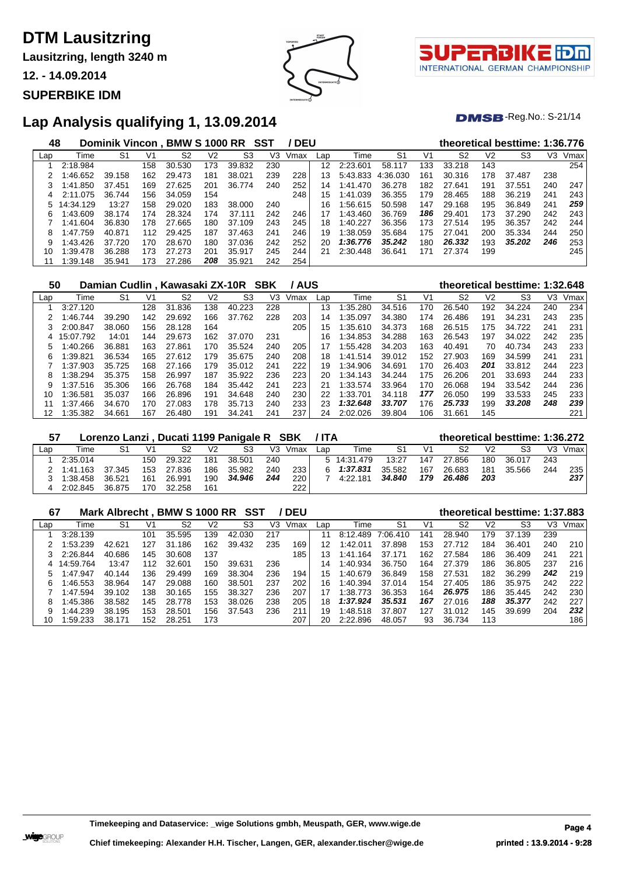**Lausitzring, length 3240 m**

**12. - 14.09.2014**

#### **SUPERBIKE IDM**





 $DMSB$ -Reg.No.: S-21/14

### **Lap Analysis qualifying 1, 13.09.2014**

| 48  |           | Dominik Vincon, BMW S 1000 RR SST |     |        |     |        |     | / DEU |     |          |                |     | theoretical besttime: 1:36.776 |                |        |     |      |
|-----|-----------|-----------------------------------|-----|--------|-----|--------|-----|-------|-----|----------|----------------|-----|--------------------------------|----------------|--------|-----|------|
| Lap | Time      | S <sub>1</sub>                    | V1  | S2     | V2  | S3     | V3  | Vmax  | Lap | Time     | S <sub>1</sub> | V1  | S <sub>2</sub>                 | V <sub>2</sub> | S3     | V3  | Vmax |
|     | 2:18.984  |                                   | 158 | 30.530 | 173 | 39.832 | 230 |       | 12  | 2:23.601 | 58.1<br>117    | 133 | 33.218                         | 143            |        |     | 254  |
|     | 1:46.652  | 39.158                            | 162 | 29.473 | 181 | 38.021 | 239 | 228   | 13  | 5:43.833 | 4:36.030       | 161 | 30.316                         | 178            | 37.487 | 238 |      |
| З   | 1:41.850  | 37.451                            | 169 | 27.625 | 201 | 36.774 | 240 | 252   | 14  | 1:41.470 | 36.278         | 182 | 27.641                         | 191            | 37.551 | 240 | 247  |
| 4   | 2:11.075  | 36.744                            | 156 | 34.059 | 154 |        |     | 248   | 15  | 1:41.039 | 36.355         | 179 | 28.465                         | 188            | 36.219 | 241 | 243  |
|     | 14:34.129 | 13:27                             | 158 | 29.020 | 183 | 38,000 | 240 |       | 16  | 1:56.615 | 50.598         | 147 | 29.168                         | 195            | 36.849 | 241 | 259  |
| 6   | 1:43.609  | 38.174                            | 174 | 28.324 | 174 | 37.111 | 242 | 246   | 17  | 1:43.460 | 36.769         | 186 | 29.401                         | 173            | 37.290 | 242 | 243  |
|     | 1:41.604  | 36.830                            | 178 | 27.665 | 180 | 37.109 | 243 | 245   | 18  | 1:40.227 | 36.356         | 173 | 27.514                         | 195            | 36.357 | 242 | 244  |
| 8   | 1:47.759  | 40.871                            | 112 | 29.425 | 187 | 37.463 | 241 | 246   | 19  | 1:38.059 | 35.684         | 175 | 27.041                         | 200            | 35.334 | 244 | 250  |
| 9   | 1:43.426  | 37.720                            | 170 | 28.670 | 180 | 37.036 | 242 | 252   | 20  | 1:36.776 | 35.242         | 180 | 26.332                         | 193            | 35.202 | 246 | 253  |
| 10  | 1:39.478  | 36.288                            | 173 | 27.273 | 201 | 35.917 | 245 | 244   | 21  | 2:30.448 | 36.641         | 171 | 27.374                         | 199            |        |     | 245  |
|     | 1:39.148  | 35.941                            | 173 | 27.286 | 208 | 35.921 | 242 | 254   |     |          |                |     |                                |                |        |     |      |

| 50  |           |        |     | Damian Cudlin, Kawasaki ZX-10R SBK |                |        |     | ' AUS |     |              |                |     |        |     | theoretical besttime: 1:32.648 |     |      |
|-----|-----------|--------|-----|------------------------------------|----------------|--------|-----|-------|-----|--------------|----------------|-----|--------|-----|--------------------------------|-----|------|
| Lap | Time      | S1     | Vʻ  | S2                                 | V <sub>2</sub> | S3     | V3  | Vmax  | Lap | Time         | S <sub>1</sub> | V1  | S2     | V2  | S3                             | V3  | Vmax |
|     | 3:27.120  |        | 128 | 31.836                             | 138            | 40.223 | 228 |       | 13  | 1:35.280     | 34.516         | 170 | 26.540 | 192 | 34.224                         | 240 | 234  |
|     | 1:46.744  | 39.290 | 142 | 29.692                             | 166            | 37.762 | 228 | 203   | 14  | 1:35.097     | 34.380         | 174 | 26.486 | 191 | 34.231                         | 243 | 235  |
|     | 2:00.847  | 38.060 | 156 | 28.128                             | 164            |        |     | 205   | 15  | 1:35.610     | 34.373         | 168 | 26.515 | 175 | 34.722                         | 241 | 231  |
| 4   | 15:07.792 | 14:01  | 144 | 29.673                             | 162            | 37.070 | 231 |       | 16  | 1:34.853     | 34.288         | 163 | 26.543 | 197 | 34.022                         | 242 | 235  |
| 5   | 1:40.266  | 36.881 | 163 | 27.861                             | 170            | 35.524 | 240 | 205   | 17  | 1:55.428     | 34.203         | 163 | 40.491 | 70  | 40.734                         | 243 | 233  |
| 6   | 1:39.821  | 36.534 | 165 | 27.612                             | 179            | 35.675 | 240 | 208   | 18  | 1:41<br>.514 | 39.012         | 152 | 27.903 | 169 | 34.599                         | 241 | 231  |
|     | 1:37.903  | 35.725 | 168 | 27.166                             | 179            | 35.012 | 241 | 222   | 19  | 1:34.906     | 34.691         | 170 | 26.403 | 201 | 33.812                         | 244 | 223  |
| 8   | 1:38.294  | 35.375 | 158 | 26.997                             | 187            | 35.922 | 236 | 223   | 20  | 1:34.143     | 34.244         | 175 | 26,206 | 201 | 33.693                         | 244 | 233  |
| 9   | 1:37.516  | 35.306 | 166 | 26.768                             | 184            | 35.442 | 241 | 223   | 21  | 1:33.574     | 33.964         | 170 | 26.068 | 194 | 33.542                         | 244 | 236  |
| 10  | 1:36.581  | 35.037 | 166 | 26.896                             | 191            | 34.648 | 240 | 230   | 22  | 1:33.701     | 34.118         | 177 | 26.050 | 199 | 33.533                         | 245 | 233  |
| 11  | 1:37.466  | 34.670 | 170 | 27.083                             | 178            | 35.713 | 240 | 233   | 23  | 1:32.648     | 33.707         | 176 | 25.733 | 199 | 33.208                         | 248 | 239  |
| 12  | 1:35.382  | 34.661 | 167 | 26.480                             | 191            | 34.241 | 241 | 237   | 24  | 2:02.026     | 39.804         | 106 | 31.661 | 145 |                                |     | 221  |

| -57 |          |        |                |            |                | Lorenzo Lanzi, Ducati 1199 Panigale R SBK |     |      | / ITA |             |        |     | theoretical besttime: 1:36.272 |                |        |     |      |
|-----|----------|--------|----------------|------------|----------------|-------------------------------------------|-----|------|-------|-------------|--------|-----|--------------------------------|----------------|--------|-----|------|
| Lap | Time     | S1     | V <sub>1</sub> | S2         | V <sub>2</sub> | S3                                        | V3. | Vmax | Lap   | Time        | S1     | V1  | S2                             | V <sub>2</sub> | S3     | V3. | Vmax |
|     | 2:35.014 |        |                | 150 29.322 | 181            | 38.501                                    | 240 |      |       | 5 14:31.479 | 13:27  | 147 | 27.856                         | 180            | 36.017 | 243 |      |
|     | 1:41.163 | 37.345 | 153            | 27.836     | 186            | 35.982                                    | 240 | 233  | 6.    | 1:37.831    | 35.582 | 167 | 26.683                         | 181            | 35.566 | 244 | 235  |
|     | 1:38.458 | 36.521 | 161            | 26.991     | 190            | 34.946                                    | 244 | 220  |       | 4:22.181    | 34.840 | 179 | 26.486                         | 203            |        |     | 237  |
|     | 2:02.845 | 36.875 | 170            | 32.258     | 161            |                                           |     | 222  |       |             |        |     |                                |                |        |     |      |

| 67  |           | Mark Albrecht, BMW S 1000 RR |     |             |     | SST    |     | <b>DEU</b> |     |          |          |     |        |                | theoretical besttime: 1:37.883 |     |      |
|-----|-----------|------------------------------|-----|-------------|-----|--------|-----|------------|-----|----------|----------|-----|--------|----------------|--------------------------------|-----|------|
| Lap | Time      | S1                           | V1  | S2          | V2  | S3     | V3  | Vmax       | Lap | Time     | S1       | V1  | S2     | V <sub>2</sub> | S3                             | V3  | Vmax |
|     | 3:28.139  |                              | 101 | 35.595      | 139 | 42.030 | 217 |            | 11  | 8:12.489 | 7:06.410 | 141 | 28.940 | 179            | 37.139                         | 239 |      |
|     | :53.239   | 42.621                       | 127 | .186<br>31  | 162 | 39.432 | 235 | 169        | 12  | 1:42.011 | 37.898   | 153 | 27.712 | 184            | 36.401                         | 240 | 210  |
|     | 2:26.844  | 40.686                       | 145 | 30.608      | 137 |        |     | 185        | 13  | l:41.164 | 37.171   | 162 | 27.584 | 186            | 36.409                         | 241 | 221  |
| 4   | 14:59.764 | 13:47                        | 112 | 32.601      | 150 | 39.631 | 236 |            | 14  | 1:40.934 | 36.750   | 164 | 27.379 | 186            | 36.805                         | 237 | 216  |
| 5   | 147.947   | 40.144                       | 136 | 29.499      | 169 | 38.304 | 236 | 194        | 15  | 1:40.679 | 36.849   | 158 | 27.531 | 182            | 36.299                         | 242 | 219  |
| 6   | :46.553   | 38.964                       | 147 | 29.088      | 160 | 38.501 | 237 | 202        | 16  | 1:40.394 | 37.014   | 154 | 27.405 | 186            | 35.975                         | 242 | 222  |
|     | 1:47.594  | 39.102                       | 138 | 30.165      | 155 | 38.327 | 236 | 207        |     | 1:38.773 | 36.353   | 164 | 26.975 | 186            | 35.445                         | 242 | 230  |
| 8   | :45.386   | 38.582                       | 145 | .778<br>28. | 153 | 38.026 | 238 | 205        | 18  | 1:37.924 | 35.531   | 167 | 27.016 | 188            | 35,377                         | 242 | 227  |
| 9   | 1:44.239  | 38.195                       | 153 | 28.501      | 156 | 37.543 | 236 | 211        | 19  | :48.518  | 37.807   | 127 | 31.012 | 145            | 39.699                         | 204 | 232  |
| 10  | :59.233   | 38.171                       | 152 | 28.251      | 173 |        |     | 207        | 20  | 2:22.896 | 48.057   | 93  | 36.734 | 113            |                                |     | 186  |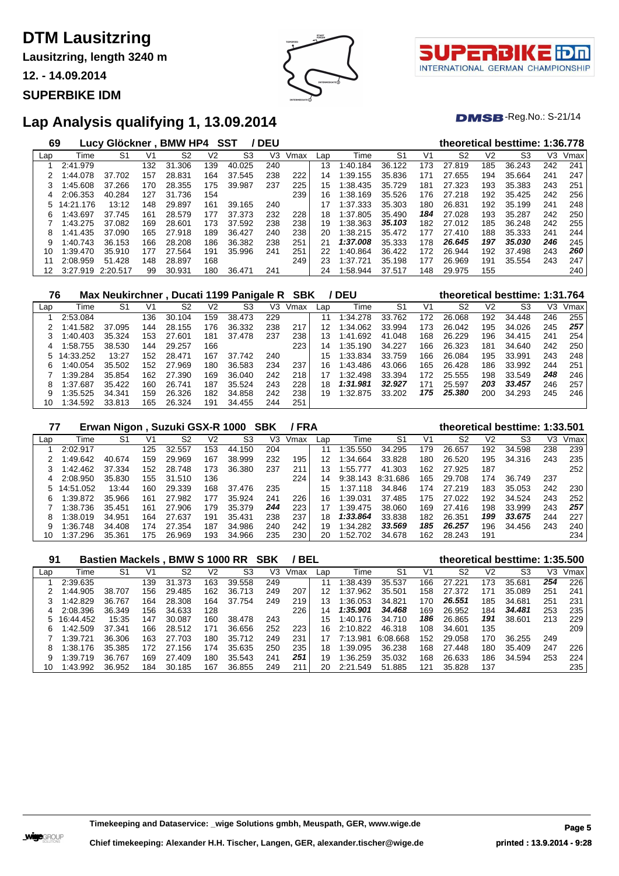**Lausitzring, length 3240 m**

**12. - 14.09.2014**

#### **SUPERBIKE IDM**





#### $DMSB$ -Reg.No.: S-21/14

### **Lap Analysis qualifying 1, 13.09.2014**

| 69  |           | Lucy Glöckner, BMW HP4 |     |            |     | SST            | <b>DEU</b> |      |     |             |                |                |                |                | theoretical besttime: 1:36.778 |                |      |
|-----|-----------|------------------------|-----|------------|-----|----------------|------------|------|-----|-------------|----------------|----------------|----------------|----------------|--------------------------------|----------------|------|
| Lap | Time      | S1                     | V1  | S2         | V2  | S <sub>3</sub> | V3         | Vmax | Lap | Time        | S <sub>1</sub> | V <sub>1</sub> | S <sub>2</sub> | V <sub>2</sub> | S3                             | V <sub>3</sub> | Vmax |
|     | 2:41.979  |                        | 132 | 31<br>.306 | 139 | 40.025         | 240        |      | 13  | 40.<br>.184 | 36.122         | 173            | 27.819         | 185            | 36.243                         | 242            | 241  |
| 2   | 1:44.078  | 37.702                 | 157 | 28.831     | 164 | 37.545         | 238        | 222  | 14  | 1:39.155    | 35.836         | 171            | 27.655         | 194            | 35.664                         | 241            | 247  |
| 3   | 1:45.608  | 37.266                 | 170 | 28.355     | 175 | 39.987         | 237        | 225  | 15  | 1:38.435    | 35.729         | 181            | 27.323         | 193            | 35.383                         | 243            | 251  |
| 4   | 2:06.353  | 40.284                 | 127 | 31.736     | 154 |                |            | 239  | 16  | 1:38.169    | 35.526         | 176            | 27.218         | 192            | 35.425                         | 242            | 256  |
| 5.  | 14:21.176 | 13:12                  | 148 | 29.897     | 161 | 39.165         | 240        |      | 17  | 1:37.333    | 35.303         | 180            | 26.831         | 192            | 35.199                         | 241            | 248  |
| 6   | 1:43.697  | 37.745                 | 161 | 28.579     | 177 | 37.373         | 232        | 228  | 18  | 1:37.805    | 35.490         | 184            | 27.028         | 193            | 35.287                         | 242            | 250  |
|     | 1:43.275  | 37.082                 | 169 | 28.601     | 173 | 37.592         | 238        | 238  | 19  | 1:38.363    | 35.103         | 182            | 27.012         | 185            | 36.248                         | 242            | 255  |
| 8   | 1:41.435  | 37.090                 | 165 | 27.918     | 189 | 36.427         | 240        | 238  | 20  | 1:38.215    | 35.472         | 177            | 27.410         | 188            | 35.333                         | 241            | 244  |
| 9   | 1:40.743  | 36.153                 | 166 | 28,208     | 186 | 36.382         | 238        | 251  | 21  | 1:37.008    | 35.333         | 178            | 26.645         | 197            | 35.030                         | 246            | 245  |
| 10  | 1:39.470  | 35.910                 | 177 | 27.564     | 191 | 35.996         | 241        | 251  | 22  | 1:40.864    | 36.422         | 172            | 26.944         | 192            | 37.498                         | 243            | 260  |
| 11  | 2:08.959  | 51.428                 | 148 | 28.897     | 168 |                |            | 249  | 23  | :37.721     | 35.198         | 177            | 26.969         | 191            | 35.554                         | 243            | 247  |
| 12  | 3:27.919  | 2:20.517               | 99  | 30.931     | 180 | 36.471         | 241        |      | 24  | 1:58.944    | 37.517         | 148            | 29.975         | 155            |                                |                | 240  |

| 76  |           | Max Neukirchner, Ducati 1199 Panigale R |     |        |     |        |     | SBK  |     | / DEU    |                |     | theoretical besttime: 1:31.764 |                |        |     |      |
|-----|-----------|-----------------------------------------|-----|--------|-----|--------|-----|------|-----|----------|----------------|-----|--------------------------------|----------------|--------|-----|------|
| Lap | Time      | S1                                      | V1  | S2     | V2  | S3     | V3  | Vmax | Lap | Time     | S <sub>1</sub> | V1  | S <sub>2</sub>                 | V <sub>2</sub> | S3     | V3  | Vmax |
|     | 2:53.084  |                                         | 136 | 30.104 | 159 | 38.473 | 229 |      | 11  | 1:34.278 | 33.762         | 172 | 26.068                         | 192            | 34.448 | 246 | 255  |
|     | 1:41.582  | 37.095                                  | 144 | 28.155 | 176 | 36.332 | 238 | 217  | 12  | 1:34.062 | 33.994         | 173 | 26.042                         | 195            | 34.026 | 245 | 257  |
|     | 1:40.403  | 35.324                                  | 153 | 27.601 | 181 | 37.478 | 237 | 238  | 13  | 1:41.692 | 41.048         | 168 | 26.229                         | 196            | 34.415 | 241 | 254  |
| 4   | 1:58.755  | 38.530                                  | 144 | 29.257 | 166 |        |     | 223  | 14  | 1:35.190 | 34.227         | 166 | 26.323                         | 181            | 34.640 | 242 | 250  |
|     | 14:33.252 | 13:27                                   | 152 | 28.471 | 167 | 37.742 | 240 |      | 15  | 1:33.834 | 33.759         | 166 | 26.084                         | 195            | 33.991 | 243 | 248  |
| 6.  | 1:40.054  | 35.502                                  | 152 | 27.969 | 180 | 36.583 | 234 | 237  | 16  | 1:43.486 | 43.066         | 165 | 26.428                         | 186            | 33.992 | 244 | 251  |
|     | 1:39.284  | 35.854                                  | 162 | 27.390 | 169 | 36.040 | 242 | 218  | 17  | 1:32.498 | 33.394         | 172 | 25.555                         | 198            | 33.549 | 248 | 246  |
|     | 1:37.687  | 35.422                                  | 160 | 26.741 | 187 | 35.524 | 243 | 228  | 18  | 1:31.981 | 32.927         | 171 | 25.597                         | 203            | 33,457 | 246 | 257  |
|     | 1:35.525  | 34.341                                  | 159 | 26.326 | 182 | 34.858 | 242 | 238  | 19  | 1:32.875 | 33.202         | 175 | 25.380                         | 200            | 34.293 | 245 | 246  |
| 10  | 1:34.592  | 33.813                                  | 165 | 26.324 | 191 | 34.455 | 244 | 251  |     |          |                |     |                                |                |        |     |      |

| 77  |           | Erwan Nigon, Suzuki GSX-R 1000 SBK |     |        |     |        |     | / FRA |     |          |          |     |                |     | theoretical besttime: 1:33.501 |     |      |
|-----|-----------|------------------------------------|-----|--------|-----|--------|-----|-------|-----|----------|----------|-----|----------------|-----|--------------------------------|-----|------|
| Lap | Time      | S1                                 | V1  | S2     | V2  | S3     | V3  | Vmax  | Lap | Time     | S1       | V1  | S <sub>2</sub> | V2  | S3                             | VЗ  | Vmax |
|     | 2:02.917  |                                    | 125 | 32.557 | 153 | 44.150 | 204 |       | 11  | 1:35.550 | 34.295   | 179 | 26.657         | 192 | 34.598                         | 238 | 239  |
|     | :49.642   | 40.674                             | 159 | 29.969 | 167 | 38.999 | 232 | 195   | 12  | 1:34.664 | 33.828   | 180 | 26.520         | 195 | 34.316                         | 243 | 235  |
|     | 1:42.462  | 37.334                             | 152 | 28.748 | 173 | 36.380 | 237 | 211   | 13  | 1:55.777 | 41.303   | 162 | 27.925         | 187 |                                |     | 252  |
| 4   | 2:08.950  | 35.830                             | 155 | 31.510 | 136 |        |     | 224   | 14  | 9:38.143 | 8:31.686 | 165 | 29.708         | 174 | 36.749                         | 237 |      |
| 5.  | 14:51.052 | 13.44                              | 160 | 29.339 | 168 | 37.476 | 235 |       | 15  | 1:37.118 | 34.846   | 174 | 27.219         | 183 | 35.053                         | 242 | 230  |
| 6   | 1:39.872  | 35.966                             | 161 | 27.982 | 177 | 35.924 | 241 | 226   | 16  | 1:39.031 | 37.485   | 175 | 27.022         | 192 | 34.524                         | 243 | 252  |
|     | 1:38.736  | 35.451                             | 161 | 27.906 | 179 | 35.379 | 244 | 223   |     | 1:39.475 | 38.060   | 169 | 27.416         | 198 | 33.999                         | 243 | 257  |
| 8   | :38.019   | 34.951                             | 164 | 27.637 | 191 | 35.431 | 238 | 237   | 18  | 1:33.864 | 33.838   | 182 | 26.351         | 199 | 33.675                         | 244 | 227  |
| 9   | :36.748   | 34.408                             | 174 | 27.354 | 187 | 34.986 | 240 | 242   | 19  | 1:34.282 | 33.569   | 185 | 26.257         | 196 | 34.456                         | 243 | 240  |
| 10  | 1:37.296  | 35.361                             | 175 | 26.969 | 193 | 34.966 | 235 | 230   | 20  | 1:52.702 | 34.678   | 162 | 28.243         | 191 |                                |     | 234  |

### **Bastien Mackels , BMW S 1000 RR SBK / BEL theoretical besttime: 1:35.500**

| Lap | Time      | S1     | V1  | S2         | V2  | S3     | V3  | Vmax | Lap | Time     | S1       | V1  | S2     | V2  | S3     | V3  | Vmax |
|-----|-----------|--------|-----|------------|-----|--------|-----|------|-----|----------|----------|-----|--------|-----|--------|-----|------|
|     | 2:39.635  |        | 139 | 31<br>.373 | 163 | 39.558 | 249 |      |     | ∷38.439  | 35.537   | 166 | 27.221 | 173 | 35.681 | 254 | 226  |
|     | 1:44.905  | 38.707 | 156 | 29.485     | 162 | 36.713 | 249 | 207  | 12  | 1:37.962 | 35.501   | 158 | 27.372 | 171 | 35.089 | 251 | 241  |
|     | 1:42.829  | 36.767 | 164 | 28,308     | 164 | 37.754 | 249 | 219  | 13  | 1:36.053 | 34.821   | 170 | 26.551 | 185 | 34.681 | 251 | 231  |
|     | 2:08.396  | 36.349 | 156 | 34.633     | 128 |        |     | 226  | 14  | 1:35.901 | 34.468   | 169 | 26.952 | 184 | 34.481 | 253 | 235  |
|     | 16:44.452 | 15:35  | 147 | 30.087     | 160 | 38.478 | 243 |      | 15  | 1:40.176 | 34.710   | 186 | 26.865 | 191 | 38.601 | 213 | 229  |
| 6   | 1:42.509  | 37.341 | 166 | 28.512     | 171 | 36.656 | 252 | 223  | 16  | 2:10.822 | 46.318   | 108 | 34.601 | 135 |        |     | 209  |
|     | 1:39.721  | 36.306 | 163 | 27.703     | 180 | 35.712 | 249 | 231  | 17  | 7:13.981 | 6:08.668 | 152 | 29.058 | 170 | 36.255 | 249 |      |
| 8   | 1:38.176  | 35.385 | 172 | .156<br>27 | 174 | 35.635 | 250 | 235  | 18  | 1:39.095 | 36.238   | 168 | 27.448 | 180 | 35.409 | 247 | 226  |
| 9   | 1:39.719  | 36.767 | 169 | 27.409     | 180 | 35.543 | 241 | 251  | 19  | 1:36.259 | 35.032   | 168 | 26.633 | 186 | 34.594 | 253 | 224  |
| 10  | 1:43.992  | 36.952 | 184 | 30.185     | 167 | 36.855 | 249 | 211  | 20  | 2:21.549 | 51.885   | 121 | 35.828 | 137 |        |     | 235  |